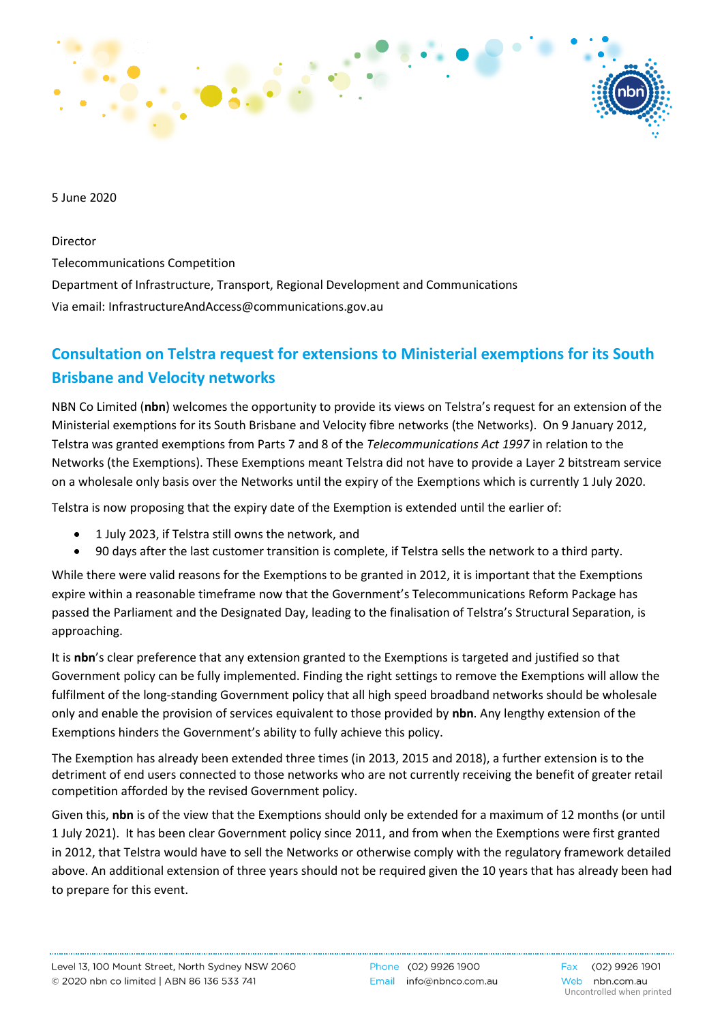

5 June 2020

Director

Telecommunications Competition

Department of Infrastructure, Transport, Regional Development and Communications Via email: [InfrastructureAndAccess@communications.gov.au](mailto:InfrastructureAndAccess@communications.gov.au)

## **Consultation on Telstra request for extensions to Ministerial exemptions for its South Brisbane and Velocity networks**

NBN Co Limited (**nbn**) welcomes the opportunity to provide its views on Telstra's request for an extension of the Ministerial exemptions for its South Brisbane and Velocity fibre networks (the Networks). On 9 January 2012, Telstra was granted exemptions from Parts 7 and 8 of the *Telecommunications Act 1997* in relation to the Networks (the Exemptions). These Exemptions meant Telstra did not have to provide a Layer 2 bitstream service on a wholesale only basis over the Networks until the expiry of the Exemptions which is currently 1 July 2020.

Telstra is now proposing that the expiry date of the Exemption is extended until the earlier of:

- 1 July 2023, if Telstra still owns the network, and
- 90 days after the last customer transition is complete, if Telstra sells the network to a third party.

While there were valid reasons for the Exemptions to be granted in 2012, it is important that the Exemptions expire within a reasonable timeframe now that the Government's Telecommunications Reform Package has passed the Parliament and the Designated Day, leading to the finalisation of Telstra's Structural Separation, is approaching.

It is **nbn**'s clear preference that any extension granted to the Exemptions is targeted and justified so that Government policy can be fully implemented. Finding the right settings to remove the Exemptions will allow the fulfilment of the long-standing Government policy that all high speed broadband networks should be wholesale only and enable the provision of services equivalent to those provided by **nbn**. Any lengthy extension of the Exemptions hinders the Government's ability to fully achieve this policy.

The Exemption has already been extended three times (in 2013, 2015 and 2018), a further extension is to the detriment of end users connected to those networks who are not currently receiving the benefit of greater retail competition afforded by the revised Government policy.

Given this, **nbn** is of the view that the Exemptions should only be extended for a maximum of 12 months (or until 1 July 2021). It has been clear Government policy since 2011, and from when the Exemptions were first granted in 2012, that Telstra would have to sell the Networks or otherwise comply with the regulatory framework detailed above. An additional extension of three years should not be required given the 10 years that has already been had to prepare for this event.